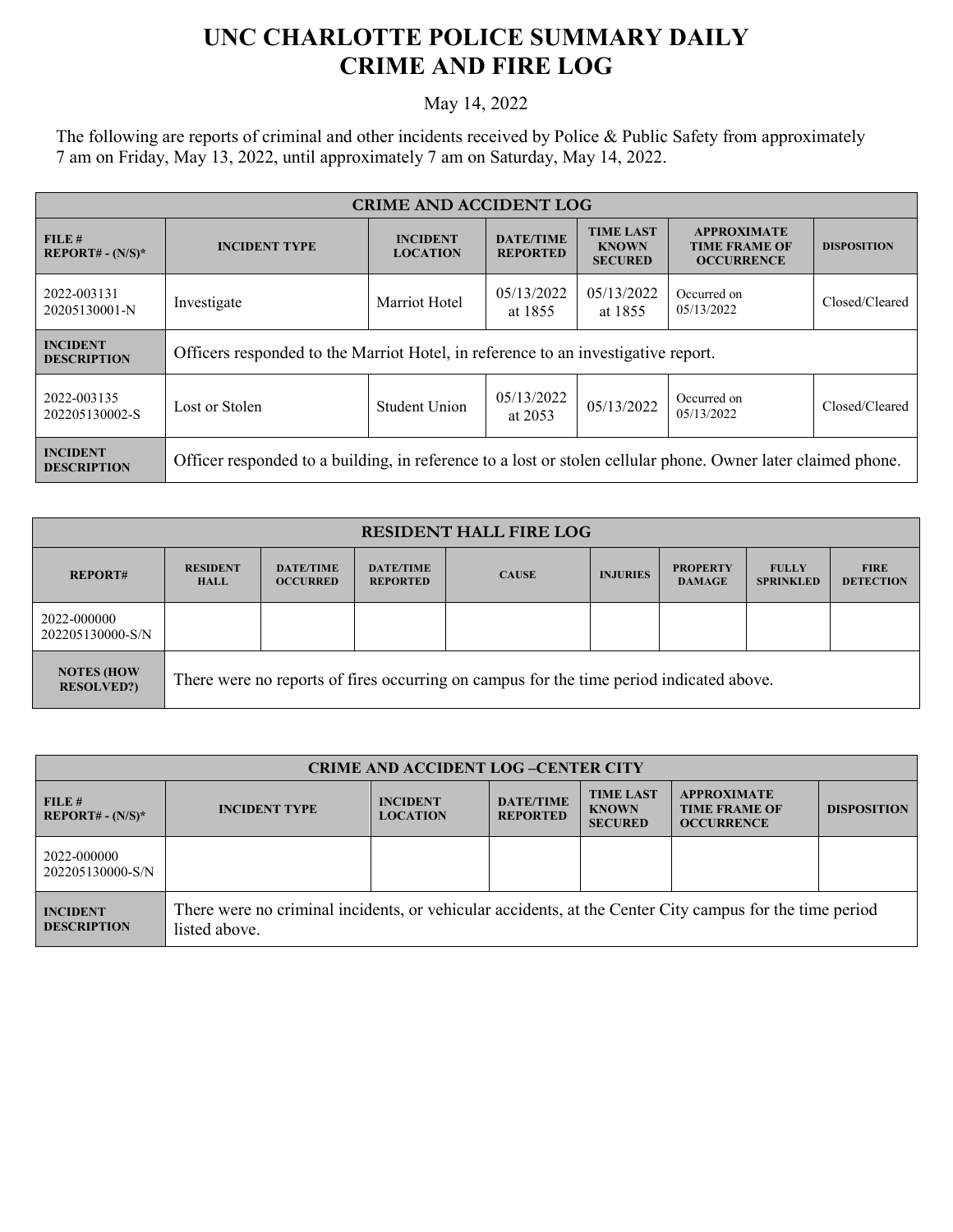## **UNC CHARLOTTE POLICE SUMMARY DAILY CRIME AND FIRE LOG**

## May 14, 2022

The following are reports of criminal and other incidents received by Police & Public Safety from approximately 7 am on Friday, May 13, 2022, until approximately 7 am on Saturday, May 14, 2022.

| <b>CRIME AND ACCIDENT LOG</b>         |                                                                                                              |                                    |                                     |                                                    |                                                                 |                    |
|---------------------------------------|--------------------------------------------------------------------------------------------------------------|------------------------------------|-------------------------------------|----------------------------------------------------|-----------------------------------------------------------------|--------------------|
| FILE#<br>$REPORT# - (N/S)*$           | <b>INCIDENT TYPE</b>                                                                                         | <b>INCIDENT</b><br><b>LOCATION</b> | <b>DATE/TIME</b><br><b>REPORTED</b> | <b>TIME LAST</b><br><b>KNOWN</b><br><b>SECURED</b> | <b>APPROXIMATE</b><br><b>TIME FRAME OF</b><br><b>OCCURRENCE</b> | <b>DISPOSITION</b> |
| 2022-003131<br>20205130001-N          | Investigate                                                                                                  | Marriot Hotel                      | 05/13/2022<br>at 1855               | 05/13/2022<br>at 1855                              | Occurred on<br>05/13/2022                                       | Closed/Cleared     |
| <b>INCIDENT</b><br><b>DESCRIPTION</b> | Officers responded to the Marriot Hotel, in reference to an investigative report.                            |                                    |                                     |                                                    |                                                                 |                    |
| 2022-003135<br>202205130002-S         | Lost or Stolen                                                                                               | Student Union                      | 05/13/2022<br>at $2053$             | 05/13/2022                                         | Occurred on<br>05/13/2022                                       | Closed/Cleared     |
| <b>INCIDENT</b><br><b>DESCRIPTION</b> | Officer responded to a building, in reference to a lost or stolen cellular phone. Owner later claimed phone. |                                    |                                     |                                                    |                                                                 |                    |

| <b>RESIDENT HALL FIRE LOG</b>          |                                                                                         |                                     |                                     |              |                 |                                  |                                  |                                 |
|----------------------------------------|-----------------------------------------------------------------------------------------|-------------------------------------|-------------------------------------|--------------|-----------------|----------------------------------|----------------------------------|---------------------------------|
| <b>REPORT#</b>                         | <b>RESIDENT</b><br><b>HALL</b>                                                          | <b>DATE/TIME</b><br><b>OCCURRED</b> | <b>DATE/TIME</b><br><b>REPORTED</b> | <b>CAUSE</b> | <b>INJURIES</b> | <b>PROPERTY</b><br><b>DAMAGE</b> | <b>FULLY</b><br><b>SPRINKLED</b> | <b>FIRE</b><br><b>DETECTION</b> |
| 2022-000000<br>202205130000-S/N        |                                                                                         |                                     |                                     |              |                 |                                  |                                  |                                 |
| <b>NOTES (HOW</b><br><b>RESOLVED?)</b> | There were no reports of fires occurring on campus for the time period indicated above. |                                     |                                     |              |                 |                                  |                                  |                                 |

| <b>CRIME AND ACCIDENT LOG-CENTER CITY</b> |                                                                                                                          |                                    |                                     |                                                    |                                                                 |                    |  |
|-------------------------------------------|--------------------------------------------------------------------------------------------------------------------------|------------------------------------|-------------------------------------|----------------------------------------------------|-----------------------------------------------------------------|--------------------|--|
| FILE#<br>$REPORT# - (N/S)*$               | <b>INCIDENT TYPE</b>                                                                                                     | <b>INCIDENT</b><br><b>LOCATION</b> | <b>DATE/TIME</b><br><b>REPORTED</b> | <b>TIME LAST</b><br><b>KNOWN</b><br><b>SECURED</b> | <b>APPROXIMATE</b><br><b>TIME FRAME OF</b><br><b>OCCURRENCE</b> | <b>DISPOSITION</b> |  |
| 2022-000000<br>202205130000-S/N           |                                                                                                                          |                                    |                                     |                                                    |                                                                 |                    |  |
| <b>INCIDENT</b><br><b>DESCRIPTION</b>     | There were no criminal incidents, or vehicular accidents, at the Center City campus for the time period<br>listed above. |                                    |                                     |                                                    |                                                                 |                    |  |